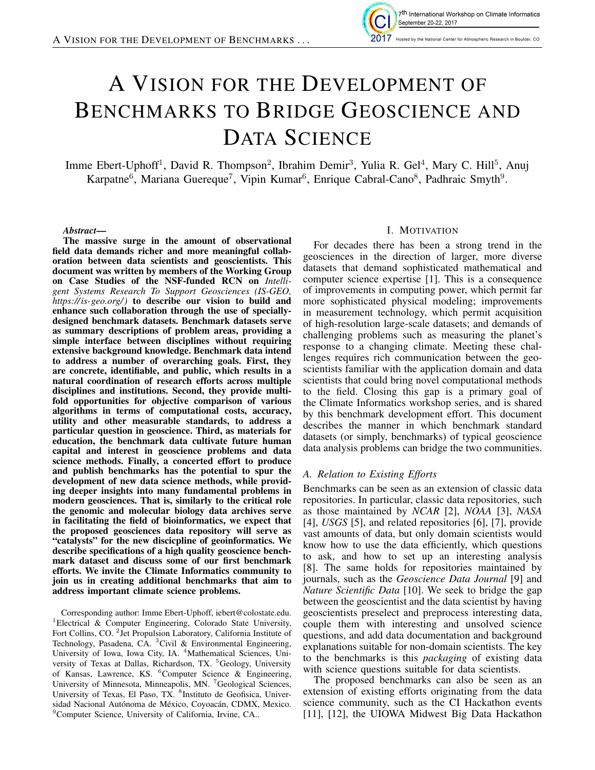

# A VISION FOR THE DEVELOPMENT OF BENCHMARKS TO BRIDGE GEOSCIENCE AND DATA SCIENCE

Imme Ebert-Uphoff<sup>1</sup>, David R. Thompson<sup>2</sup>, Ibrahim Demir<sup>3</sup>, Yulia R. Gel<sup>4</sup>, Mary C. Hill<sup>5</sup>, Anuj Karpatne<sup>6</sup>, Mariana Guereque<sup>7</sup>, Vipin Kumar<sup>6</sup>, Enrique Cabral-Cano<sup>8</sup>, Padhraic Smyth<sup>9</sup>.

*Abstract*—

The massive surge in the amount of observational field data demands richer and more meaningful collaboration between data scientists and geoscientists. This document was written by members of the Working Group on Case Studies of the NSF-funded RCN on *Intelligent Systems Research To Support Geosciences (IS-GEO, https://is-geo.org/ )* to describe our vision to build and enhance such collaboration through the use of speciallydesigned benchmark datasets. Benchmark datasets serve as summary descriptions of problem areas, providing a simple interface between disciplines without requiring extensive background knowledge. Benchmark data intend to address a number of overarching goals. First, they are concrete, identifiable, and public, which results in a natural coordination of research efforts across multiple disciplines and institutions. Second, they provide multifold opportunities for objective comparison of various algorithms in terms of computational costs, accuracy, utility and other measurable standards, to address a particular question in geoscience. Third, as materials for education, the benchmark data cultivate future human capital and interest in geoscience problems and data science methods. Finally, a concerted effort to produce and publish benchmarks has the potential to spur the development of new data science methods, while providing deeper insights into many fundamental problems in modern geosciences. That is, similarly to the critical role the genomic and molecular biology data archives serve in facilitating the field of bioinformatics, we expect that the proposed geosciences data repository will serve as "catalysts" for the new discicpline of geoinformatics. We describe specifications of a high quality geoscience benchmark dataset and discuss some of our first benchmark efforts. We invite the Climate Informatics community to join us in creating additional benchmarks that aim to address important climate science problems.

Corresponding author: Imme Ebert-Uphoff, iebert@colostate.edu. <sup>1</sup>Electrical & Computer Engineering, Colorado State University, Fort Collins, CO. <sup>2</sup> Jet Propulsion Laboratory, California Institute of Technology, Pasadena, CA. <sup>3</sup>Civil & Environmental Engineering, University of Iowa, Iowa City, IA. <sup>4</sup>Mathematical Sciences, University of Texas at Dallas, Richardson, TX. <sup>5</sup>Geology, University of Kansas, Lawrence, KS. <sup>6</sup>Computer Science & Engineering, University of Minnesota, Minneapolis, MN. <sup>7</sup>Geological Sciences, University of Texas, El Paso, TX. <sup>8</sup>Instituto de Geofisica, Universidad Nacional Autónoma de México, Coyoacán, CDMX, Mexico. <sup>9</sup>Computer Science, University of California, Irvine, CA..

#### I. MOTIVATION

For decades there has been a strong trend in the geosciences in the direction of larger, more diverse datasets that demand sophisticated mathematical and computer science expertise [1]. This is a consequence of improvements in computing power, which permit far more sophisticated physical modeling; improvements in measurement technology, which permit acquisition of high-resolution large-scale datasets; and demands of challenging problems such as measuring the planet's response to a changing climate. Meeting these challenges requires rich communication between the geoscientists familiar with the application domain and data scientists that could bring novel computational methods to the field. Closing this gap is a primary goal of the Climate Informatics workshop series, and is shared by this benchmark development effort. This document describes the manner in which benchmark standard datasets (or simply, benchmarks) of typical geoscience data analysis problems can bridge the two communities.

# *A. Relation to Existing Efforts*

Benchmarks can be seen as an extension of classic data repositories. In particular, classic data repositories, such as those maintained by *NCAR* [2], *NOAA* [3], *NASA* [4], *USGS* [5], and related repositories [6], [7], provide vast amounts of data, but only domain scientists would know how to use the data efficiently, which questions to ask, and how to set up an interesting analysis [8]. The same holds for repositories maintained by journals, such as the *Geoscience Data Journal* [9] and *Nature Scientific Data* [10]. We seek to bridge the gap between the geoscientist and the data scientist by having geoscientists preselect and preprocess interesting data, couple them with interesting and unsolved science questions, and add data documentation and background explanations suitable for non-domain scientists. The key to the benchmarks is this *packaging* of existing data with science questions suitable for data scientists.

The proposed benchmarks can also be seen as an extension of existing efforts originating from the data science community, such as the CI Hackathon events [11], [12], the UIOWA Midwest Big Data Hackathon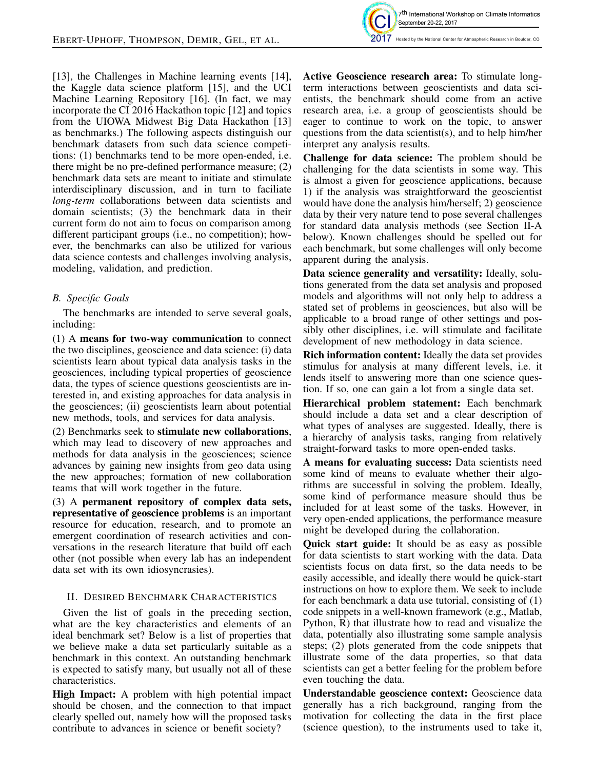

[13], the Challenges in Machine learning events [14], the Kaggle data science platform [15], and the UCI Machine Learning Repository [16]. (In fact, we may incorporate the CI 2016 Hackathon topic [12] and topics from the UIOWA Midwest Big Data Hackathon [13] as benchmarks.) The following aspects distinguish our benchmark datasets from such data science competitions: (1) benchmarks tend to be more open-ended, i.e. there might be no pre-defined performance measure; (2) benchmark data sets are meant to initiate and stimulate interdisciplinary discussion, and in turn to faciliate *long-term* collaborations between data scientists and domain scientists; (3) the benchmark data in their current form do not aim to focus on comparison among different participant groups (i.e., no competition); however, the benchmarks can also be utilized for various data science contests and challenges involving analysis, modeling, validation, and prediction.

# *B. Specific Goals*

The benchmarks are intended to serve several goals, including:

(1) A means for two-way communication to connect the two disciplines, geoscience and data science: (i) data scientists learn about typical data analysis tasks in the geosciences, including typical properties of geoscience data, the types of science questions geoscientists are interested in, and existing approaches for data analysis in the geosciences; (ii) geoscientists learn about potential new methods, tools, and services for data analysis.

(2) Benchmarks seek to stimulate new collaborations, which may lead to discovery of new approaches and methods for data analysis in the geosciences; science advances by gaining new insights from geo data using the new approaches; formation of new collaboration teams that will work together in the future.

(3) A permanent repository of complex data sets, representative of geoscience problems is an important resource for education, research, and to promote an emergent coordination of research activities and conversations in the research literature that build off each other (not possible when every lab has an independent data set with its own idiosyncrasies).

# II. DESIRED BENCHMARK CHARACTERISTICS

Given the list of goals in the preceding section, what are the key characteristics and elements of an ideal benchmark set? Below is a list of properties that we believe make a data set particularly suitable as a benchmark in this context. An outstanding benchmark is expected to satisfy many, but usually not all of these characteristics.

High Impact: A problem with high potential impact should be chosen, and the connection to that impact clearly spelled out, namely how will the proposed tasks contribute to advances in science or benefit society?

Active Geoscience research area: To stimulate longterm interactions between geoscientists and data scientists, the benchmark should come from an active research area, i.e. a group of geoscientists should be eager to continue to work on the topic, to answer questions from the data scientist(s), and to help him/her interpret any analysis results.

Challenge for data science: The problem should be challenging for the data scientists in some way. This is almost a given for geoscience applications, because 1) if the analysis was straightforward the geoscientist would have done the analysis him/herself; 2) geoscience data by their very nature tend to pose several challenges for standard data analysis methods (see Section II-A below). Known challenges should be spelled out for each benchmark, but some challenges will only become apparent during the analysis.

Data science generality and versatility: Ideally, solutions generated from the data set analysis and proposed models and algorithms will not only help to address a stated set of problems in geosciences, but also will be applicable to a broad range of other settings and possibly other disciplines, i.e. will stimulate and facilitate development of new methodology in data science.

Rich information content: Ideally the data set provides stimulus for analysis at many different levels, i.e. it lends itself to answering more than one science question. If so, one can gain a lot from a single data set.

Hierarchical problem statement: Each benchmark should include a data set and a clear description of what types of analyses are suggested. Ideally, there is a hierarchy of analysis tasks, ranging from relatively straight-forward tasks to more open-ended tasks.

A means for evaluating success: Data scientists need some kind of means to evaluate whether their algorithms are successful in solving the problem. Ideally, some kind of performance measure should thus be included for at least some of the tasks. However, in very open-ended applications, the performance measure might be developed during the collaboration.

Quick start guide: It should be as easy as possible for data scientists to start working with the data. Data scientists focus on data first, so the data needs to be easily accessible, and ideally there would be quick-start instructions on how to explore them. We seek to include for each benchmark a data use tutorial, consisting of (1) code snippets in a well-known framework (e.g., Matlab, Python, R) that illustrate how to read and visualize the data, potentially also illustrating some sample analysis steps; (2) plots generated from the code snippets that illustrate some of the data properties, so that data scientists can get a better feeling for the problem before even touching the data.

Understandable geoscience context: Geoscience data generally has a rich background, ranging from the motivation for collecting the data in the first place (science question), to the instruments used to take it,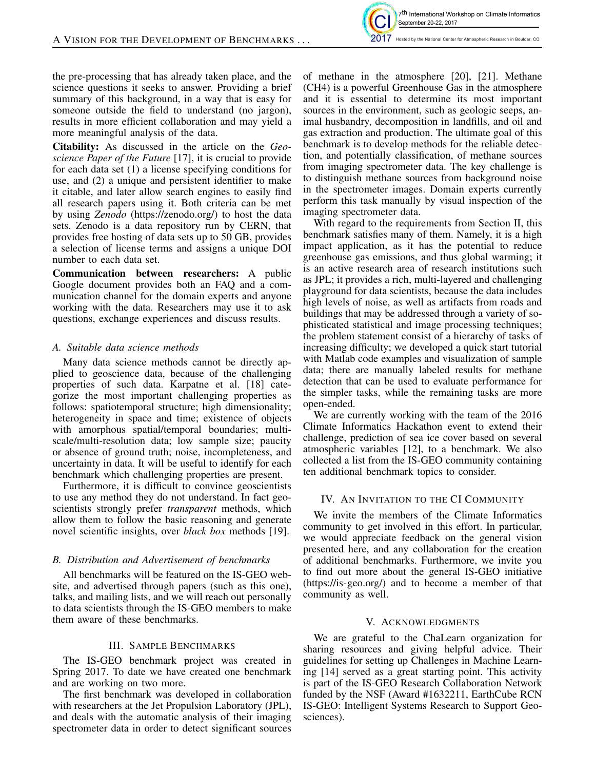

the pre-processing that has already taken place, and the science questions it seeks to answer. Providing a brief summary of this background, in a way that is easy for someone outside the field to understand (no jargon), results in more efficient collaboration and may yield a more meaningful analysis of the data.

Citability: As discussed in the article on the *Geoscience Paper of the Future* [17], it is crucial to provide for each data set (1) a license specifying conditions for use, and (2) a unique and persistent identifier to make it citable, and later allow search engines to easily find all research papers using it. Both criteria can be met by using *Zenodo* (https://zenodo.org/) to host the data sets. Zenodo is a data repository run by CERN, that provides free hosting of data sets up to 50 GB, provides a selection of license terms and assigns a unique DOI number to each data set.

Communication between researchers: A public Google document provides both an FAQ and a communication channel for the domain experts and anyone working with the data. Researchers may use it to ask questions, exchange experiences and discuss results.

# *A. Suitable data science methods*

Many data science methods cannot be directly applied to geoscience data, because of the challenging properties of such data. Karpatne et al. [18] categorize the most important challenging properties as follows: spatiotemporal structure; high dimensionality; heterogeneity in space and time; existence of objects with amorphous spatial/temporal boundaries; multiscale/multi-resolution data; low sample size; paucity or absence of ground truth; noise, incompleteness, and uncertainty in data. It will be useful to identify for each benchmark which challenging properties are present.

Furthermore, it is difficult to convince geoscientists to use any method they do not understand. In fact geoscientists strongly prefer *transparent* methods, which allow them to follow the basic reasoning and generate novel scientific insights, over *black box* methods [19].

#### *B. Distribution and Advertisement of benchmarks*

All benchmarks will be featured on the IS-GEO website, and advertised through papers (such as this one), talks, and mailing lists, and we will reach out personally to data scientists through the IS-GEO members to make them aware of these benchmarks.

#### III. SAMPLE BENCHMARKS

The IS-GEO benchmark project was created in Spring 2017. To date we have created one benchmark and are working on two more.

The first benchmark was developed in collaboration with researchers at the Jet Propulsion Laboratory (JPL), and deals with the automatic analysis of their imaging spectrometer data in order to detect significant sources of methane in the atmosphere [20], [21]. Methane (CH4) is a powerful Greenhouse Gas in the atmosphere and it is essential to determine its most important sources in the environment, such as geologic seeps, animal husbandry, decomposition in landfills, and oil and gas extraction and production. The ultimate goal of this benchmark is to develop methods for the reliable detection, and potentially classification, of methane sources from imaging spectrometer data. The key challenge is to distinguish methane sources from background noise in the spectrometer images. Domain experts currently perform this task manually by visual inspection of the imaging spectrometer data.

With regard to the requirements from Section II, this benchmark satisfies many of them. Namely, it is a high impact application, as it has the potential to reduce greenhouse gas emissions, and thus global warming; it is an active research area of research institutions such as JPL; it provides a rich, multi-layered and challenging playground for data scientists, because the data includes high levels of noise, as well as artifacts from roads and buildings that may be addressed through a variety of sophisticated statistical and image processing techniques; the problem statement consist of a hierarchy of tasks of increasing difficulty; we developed a quick start tutorial with Matlab code examples and visualization of sample data; there are manually labeled results for methane detection that can be used to evaluate performance for the simpler tasks, while the remaining tasks are more open-ended.

We are currently working with the team of the 2016 Climate Informatics Hackathon event to extend their challenge, prediction of sea ice cover based on several atmospheric variables [12], to a benchmark. We also collected a list from the IS-GEO community containing ten additional benchmark topics to consider.

#### IV. AN INVITATION TO THE CI COMMUNITY

We invite the members of the Climate Informatics community to get involved in this effort. In particular, we would appreciate feedback on the general vision presented here, and any collaboration for the creation of additional benchmarks. Furthermore, we invite you to find out more about the general IS-GEO initiative (https://is-geo.org/) and to become a member of that community as well.

# V. ACKNOWLEDGMENTS

We are grateful to the ChaLearn organization for sharing resources and giving helpful advice. Their guidelines for setting up Challenges in Machine Learning [14] served as a great starting point. This activity is part of the IS-GEO Research Collaboration Network funded by the NSF (Award #1632211, EarthCube RCN IS-GEO: Intelligent Systems Research to Support Geosciences).